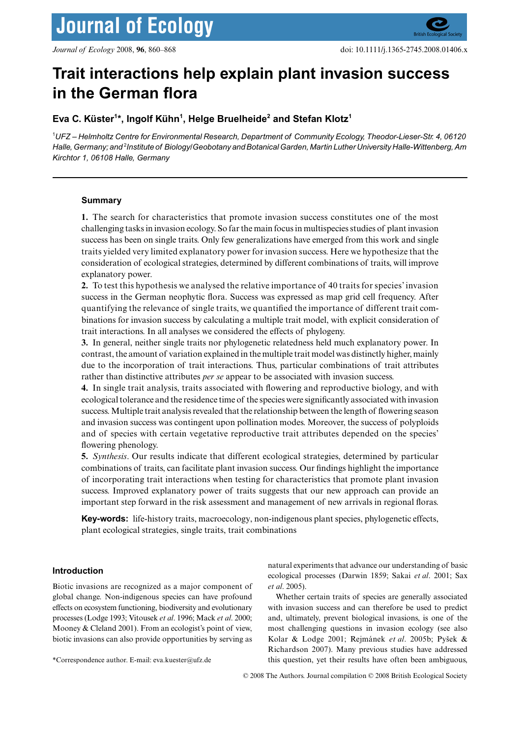# **Trait interactions help explain plant invasion success in the German flora**

# **Eva C. Küster1 \*, Ingolf Kühn1 , Helge Bruelheide2 and Stefan Klotz1**

1 *UFZ – Helmholtz Centre for Environmental Research, Department of Community Ecology, Theodor-Lieser-Str. 4, 06120 Halle, Germany; and* <sup>2</sup> *Institute of Biology/Geobotany and Botanical Garden, Martin Luther University Halle-Wittenberg, Am Kirchtor 1, 06108 Halle, Germany*

# **Summary**

**1.** The search for characteristics that promote invasion success constitutes one of the most challenging tasks in invasion ecology. So far the main focus in multispecies studies of plant invasion success has been on single traits. Only few generalizations have emerged from this work and single traits yielded very limited explanatory power for invasion success. Here we hypothesize that the consideration of ecological strategies, determined by different combinations of traits, will improve explanatory power.

**2.** To test this hypothesis we analysed the relative importance of 40 traits for species' invasion success in the German neophytic flora. Success was expressed as map grid cell frequency. After quantifying the relevance of single traits, we quantified the importance of different trait combinations for invasion success by calculating a multiple trait model, with explicit consideration of trait interactions. In all analyses we considered the effects of phylogeny.

**3.** In general, neither single traits nor phylogenetic relatedness held much explanatory power. In contrast, the amount of variation explained in the multiple trait model was distinctly higher, mainly due to the incorporation of trait interactions. Thus, particular combinations of trait attributes rather than distinctive attributes *per se* appear to be associated with invasion success.

**4.** In single trait analysis, traits associated with flowering and reproductive biology, and with ecological tolerance and the residence time of the species were significantly associated with invasion success. Multiple trait analysis revealed that the relationship between the length of flowering season and invasion success was contingent upon pollination modes. Moreover, the success of polyploids and of species with certain vegetative reproductive trait attributes depended on the species' flowering phenology.

**5.** *Synthesis*. Our results indicate that different ecological strategies, determined by particular combinations of traits, can facilitate plant invasion success. Our findings highlight the importance of incorporating trait interactions when testing for characteristics that promote plant invasion success. Improved explanatory power of traits suggests that our new approach can provide an important step forward in the risk assessment and management of new arrivals in regional floras.

**Key-words:** life-history traits, macroecology, non-indigenous plant species, phylogenetic effects, plant ecological strategies, single traits, trait combinations

# **Introduction**

Biotic invasions are recognized as a major component of global change. Non-indigenous species can have profound effects on ecosystem functioning, biodiversity and evolutionary processes (Lodge 1993; Vitousek *et al*. 1996; Mack *et al*. 2000; Mooney & Cleland 2001). From an ecologist's point of view, biotic invasions can also provide opportunities by serving as

natural experiments that advance our understanding of basic ecological processes (Darwin 1859; Sakai *et al*. 2001; Sax *et al*. 2005).

Whether certain traits of species are generally associated with invasion success and can therefore be used to predict and, ultimately, prevent biological invasions, is one of the most challenging questions in invasion ecology (see also Kolar & Lodge 2001; Rejmánek *et al*. 2005b; Pysek & Richardson 2007). Many previous studies have addressed \*Correspondence author. E-mail: eva.kuester@ufz.de this question, yet their results have often been ambiguous,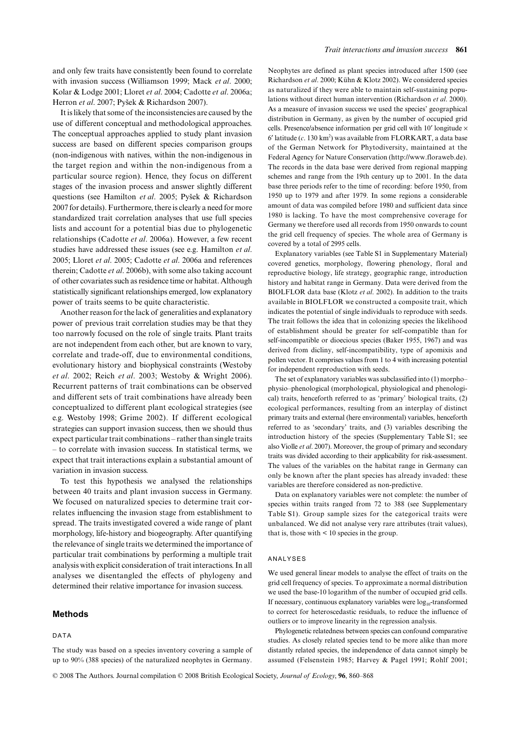and only few traits have consistently been found to correlate with invasion success (Williamson 1999; Mack *et al*. 2000; Kolar & Lodge 2001; Lloret *et al*. 2004; Cadotte *et al*. 2006a; Herron et al. 2007; Pyšek & Richardson 2007).

It is likely that some of the inconsistencies are caused by the use of different conceptual and methodological approaches. The conceptual approaches applied to study plant invasion success are based on different species comparison groups (non-indigenous with natives, within the non-indigenous in the target region and within the non-indigenous from a particular source region). Hence, they focus on different stages of the invasion process and answer slightly different questions (see Hamilton *et al*. 2005; Pysek & Richardson 2007 for details). Furthermore, there is clearly a need for more standardized trait correlation analyses that use full species lists and account for a potential bias due to phylogenetic relationships (Cadotte *et al*. 2006a). However, a few recent studies have addressed these issues (see e.g. Hamilton *et al*. 2005; Lloret *et al*. 2005; Cadotte *et al*. 2006a and references therein; Cadotte *et al*. 2006b), with some also taking account of other covariates such as residence time or habitat. Although statistically significant relationships emerged, low explanatory power of traits seems to be quite characteristic.

Another reason for the lack of generalities and explanatory power of previous trait correlation studies may be that they too narrowly focused on the role of single traits. Plant traits are not independent from each other, but are known to vary, correlate and trade-off, due to environmental conditions, evolutionary history and biophysical constraints (Westoby *et al*. 2002; Reich *et al*. 2003; Westoby & Wright 2006). Recurrent patterns of trait combinations can be observed and different sets of trait combinations have already been conceptualized to different plant ecological strategies (see e.g. Westoby 1998; Grime 2002). If different ecological strategies can support invasion success, then we should thus expect particular trait combinations – rather than single traits – to correlate with invasion success. In statistical terms, we expect that trait interactions explain a substantial amount of variation in invasion success.

To test this hypothesis we analysed the relationships between 40 traits and plant invasion success in Germany. We focused on naturalized species to determine trait correlates influencing the invasion stage from establishment to spread. The traits investigated covered a wide range of plant morphology, life-history and biogeography. After quantifying the relevance of single traits we determined the importance of particular trait combinations by performing a multiple trait analysis with explicit consideration of trait interactions. In all analyses we disentangled the effects of phylogeny and determined their relative importance for invasion success.

#### **Methods**

#### DATA

Neophytes are defined as plant species introduced after 1500 (see Richardson *et al*. 2000; Kühn & Klotz 2002). We considered species as naturalized if they were able to maintain self-sustaining populations without direct human intervention (Richardson *et al*. 2000). As a measure of invasion success we used the species' geographical distribution in Germany, as given by the number of occupied grid cells. Presence/absence information per grid cell with  $10'$  longitude  $\times$ 6′ latitude (*c*. 130 km2 ) was available from FLORKART, a data base of the German Network for Phytodiversity, maintained at the Federal Agency for Nature Conservation [\(http://www.floraweb.de\).](http://www.floraweb.de) The records in the data base were derived from regional mapping schemes and range from the 19th century up to 2001. In the data base three periods refer to the time of recording: before 1950, from 1950 up to 1979 and after 1979. In some regions a considerable amount of data was compiled before 1980 and sufficient data since 1980 is lacking. To have the most comprehensive coverage for Germany we therefore used all records from 1950 onwards to count the grid cell frequency of species. The whole area of Germany is covered by a total of 2995 cells.

Explanatory variables (see Table S1 in Supplementary Material) covered genetics, morphology, flowering phenology, floral and reproductive biology, life strategy, geographic range, introduction history and habitat range in Germany. Data were derived from the BIOLFLOR data base (Klotz *et al*. 2002). In addition to the traits available in BIOLFLOR we constructed a composite trait, which indicates the potential of single individuals to reproduce with seeds. The trait follows the idea that in colonizing species the likelihood of establishment should be greater for self-compatible than for self-incompatible or dioecious species (Baker 1955, 1967) and was derived from dicliny, self-incompatibility, type of apomixis and pollen vector. It comprises values from 1 to 4 with increasing potential for independent reproduction with seeds.

The set of explanatory variables was subclassified into (1) morpho– physio–phenological (morphological, physiological and phenological) traits, henceforth referred to as 'primary' biological traits, (2) ecological performances, resulting from an interplay of distinct primary traits and external (here environmental) variables, henceforth referred to as 'secondary' traits, and (3) variables describing the introduction history of the species (Supplementary Table S1; see also Violle *et al*. 2007). Moreover, the group of primary and secondary traits was divided according to their applicability for risk-assessment. The values of the variables on the habitat range in Germany can only be known after the plant species has already invaded: these variables are therefore considered as non-predictive.

Data on explanatory variables were not complete: the number of species within traits ranged from 72 to 388 (see Supplementary Table S1). Group sample sizes for the categorical traits were unbalanced. We did not analyse very rare attributes (trait values), that is, those with  $\leq 10$  species in the group.

#### ANALYSES

We used general linear models to analyse the effect of traits on the grid cell frequency of species. To approximate a normal distribution we used the base-10 logarithm of the number of occupied grid cells. If necessary, continuous explanatory variables were  $log_{10}$ -transformed to correct for heteroscedastic residuals, to reduce the influence of outliers or to improve linearity in the regression analysis.

Phylogenetic relatedness between species can confound comparative studies. As closely related species tend to be more alike than more distantly related species, the independence of data cannot simply be assumed (Felsenstein 1985; Harvey & Pagel 1991; Rohlf 2001;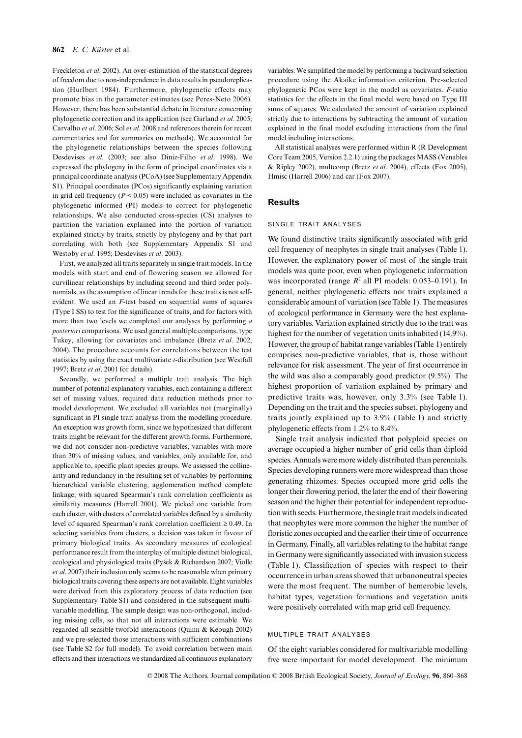#### **862** *E. C. Küster* et al.

Freckleton *et al*. 2002). An over-estimation of the statistical degrees of freedom due to non-independence in data results in pseudoreplication (Hurlbert 1984). Furthermore, phylogenetic effects may promote bias in the parameter estimates (see Peres-Neto 2006). However, there has been substantial debate in literature concerning phylogenetic correction and its application (see Garland *et al*. 2005; Carvalho *et al*. 2006; Sol *et al*. 2008 and references therein for recent commentaries and for summaries on methods). We accounted for the phylogenetic relationships between the species following Desdevises *et al*. (2003; see also Diniz-Filho *et al*. 1998). We expressed the phylogeny in the form of principal coordinates via a principal coordinate analysis (PCoA) (see Supplementary Appendix S1). Principal coordinates (PCos) significantly explaining variation in grid cell frequency  $(P < 0.05)$  were included as covariates in the phylogenetic informed (PI) models to correct for phylogenetic relationships. We also conducted cross-species (CS) analyses to partition the variation explained into the portion of variation explained strictly by traits, strictly by phylogeny and by that part correlating with both (see Supplementary Appendix S1 and Westoby *et al*. 1995; Desdevises *et al*. 2003).

First, we analyzed all traits separately in single trait models. In the models with start and end of flowering season we allowed for curvilinear relationships by including second and third order polynomials, as the assumption of linear trends for these traits is not selfevident. We used an *F*-test based on sequential sums of squares (Type I SS) to test for the significance of traits, and for factors with more than two levels we completed our analyses by performing *a posteriori* comparisons. We used general multiple comparisons, type Tukey, allowing for covariates and imbalance (Bretz *et al*. 2002, 2004). The procedure accounts for correlations between the test statistics by using the exact multivariate *t*-distribution (see Westfall 1997; Bretz *et al*. 2001 for details).

Secondly, we performed a multiple trait analysis. The high number of potential explanatory variables, each containing a different set of missing values, required data reduction methods prior to model development. We excluded all variables not (marginally) significant in PI single trait analysis from the modelling procedure. An exception was growth form, since we hypothesized that different traits might be relevant for the different growth forms. Furthermore, we did not consider non-predictive variables, variables with more than 30% of missing values, and variables, only available for, and applicable to, specific plant species groups. We assessed the collinearity and redundancy in the resulting set of variables by performing hierarchical variable clustering, agglomeration method complete linkage, with squared Spearman's rank correlation coefficients as similarity measures (Harrell 2001). We picked one variable from each cluster, with clusters of correlated variables defined by a similarity level of squared Spearman's rank correlation coefficient ≥ 0.49. In selecting variables from clusters, a decision was taken in favour of primary biological traits. As secondary measures of ecological performance result from the interplay of multiple distinct biological, ecological and physiological traits (Pysek & Richardson 2007; Violle *et al*. 2007) their inclusion only seems to be reasonable when primary biological traits covering these aspects are not available. Eight variables were derived from this exploratory process of data reduction (see Supplementary Table S1) and considered in the subsequent multivariable modelling. The sample design was non-orthogonal, including missing cells, so that not all interactions were estimable. We regarded all sensible twofold interactions (Quinn & Keough 2002) and we pre-selected those interactions with sufficient combinations (see Table S2 for full model). To avoid correlation between main effects and their interactions we standardized all continuous explanatory variables. We simplified the model by performing a backward selection procedure using the Akaike information criterion. Pre-selected phylogenetic PCos were kept in the model as covariates. *F*-ratio statistics for the effects in the final model were based on Type III sums of squares. We calculated the amount of variation explained strictly due to interactions by subtracting the amount of variation explained in the final model excluding interactions from the final model including interactions.

All statistical analyses were performed within R (R Development Core Team 2005, Version 2.2.1) using the packages MASS (Venables & Ripley 2002), multcomp (Bretz *et al*. 2004), effects (Fox 2005), Hmisc (Harrell 2006) and car (Fox 2007).

# **Results**

#### SINGLE TRAIT ANALYSES

We found distinctive traits significantly associated with grid cell frequency of neophytes in single trait analyses (Table 1). However, the explanatory power of most of the single trait models was quite poor, even when phylogenetic information was incorporated (range  $R^2$  all PI models: 0.053–0.191). In general, neither phylogenetic effects nor traits explained a considerable amount of variation (see Table 1). The measures of ecological performance in Germany were the best explanatory variables. Variation explained strictly due to the trait was highest for the number of vegetation units inhabited (14.9%). However, the group of habitat range variables (Table 1) entirely comprises non-predictive variables, that is, those without relevance for risk assessment. The year of first occurrence in the wild was also a comparably good predictor (9.5%). The highest proportion of variation explained by primary and predictive traits was, however, only 3.3% (see Table 1). Depending on the trait and the species subset, phylogeny and traits jointly explained up to 3.9% (Table 1) and strictly phylogenetic effects from 1.2% to 8.4%.

Single trait analysis indicated that polyploid species on average occupied a higher number of grid cells than diploid species. Annuals were more widely distributed than perennials. Species developing runners were more widespread than those generating rhizomes. Species occupied more grid cells the longer their flowering period, the later the end of their flowering season and the higher their potential for independent reproduction with seeds. Furthermore, the single trait models indicated that neophytes were more common the higher the number of floristic zones occupied and the earlier their time of occurrence in Germany. Finally, all variables relating to the habitat range in Germany were significantly associated with invasion success (Table 1). Classification of species with respect to their occurrence in urban areas showed that urbanoneutral species were the most frequent. The number of hemerobic levels, habitat types, vegetation formations and vegetation units were positively correlated with map grid cell frequency.

#### MULTIPLE TRAIT ANALYSES

Of the eight variables considered for multivariable modelling five were important for model development. The minimum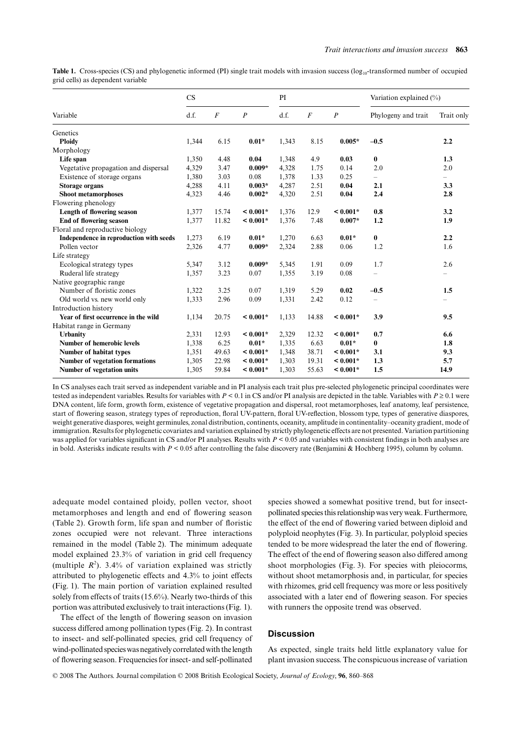| Variable                                | CS    |                |                  | PI    |                  |                  | Variation explained (%)  |            |
|-----------------------------------------|-------|----------------|------------------|-------|------------------|------------------|--------------------------|------------|
|                                         | d.f.  | $\overline{F}$ | $\boldsymbol{P}$ | d.f.  | $\boldsymbol{F}$ | $\boldsymbol{P}$ | Phylogeny and trait      | Trait only |
| Genetics                                |       |                |                  |       |                  |                  |                          |            |
| <b>Ploidy</b>                           | 1,344 | 6.15           | $0.01*$          | 1,343 | 8.15             | $0.005*$         | $-0.5$                   | 2.2        |
| Morphology                              |       |                |                  |       |                  |                  |                          |            |
| Life span                               | 1,350 | 4.48           | 0.04             | 1,348 | 4.9              | 0.03             | $\bf{0}$                 | 1.3        |
| Vegetative propagation and dispersal    | 4,329 | 3.47           | $0.009*$         | 4,328 | 1.75             | 0.14             | 2.0                      | 2.0        |
| Existence of storage organs             | 1,380 | 3.03           | 0.08             | 1,378 | 1.33             | 0.25             |                          |            |
| <b>Storage organs</b>                   | 4,288 | 4.11           | $0.003*$         | 4,287 | 2.51             | 0.04             | 2.1                      | 3.3        |
| <b>Shoot metamorphoses</b>              | 4,323 | 4.46           | $0.002*$         | 4,320 | 2.51             | 0.04             | 2.4                      | 2.8        |
| Flowering phenology                     |       |                |                  |       |                  |                  |                          |            |
| Length of flowering season              | 1,377 | 15.74          | $< 0.001*$       | 1,376 | 12.9             | $< 0.001*$       | 0.8                      | 3.2        |
| End of flowering season                 | 1,377 | 11.82          | $< 0.001*$       | 1,376 | 7.48             | $0.007*$         | 1.2                      | 1.9        |
| Floral and reproductive biology         |       |                |                  |       |                  |                  |                          |            |
| Independence in reproduction with seeds | 1,273 | 6.19           | $0.01*$          | 1,270 | 6.63             | $0.01*$          | $\bf{0}$                 | 2.2        |
| Pollen vector                           | 2,326 | 4.77           | $0.009*$         | 2,324 | 2.88             | 0.06             | 1.2                      | 1.6        |
| Life strategy                           |       |                |                  |       |                  |                  |                          |            |
| Ecological strategy types               | 5,347 | 3.12           | $0.009*$         | 5,345 | 1.91             | 0.09             | 1.7                      | 2.6        |
| Ruderal life strategy                   | 1,357 | 3.23           | 0.07             | 1,355 | 3.19             | 0.08             |                          |            |
| Native geographic range                 |       |                |                  |       |                  |                  |                          |            |
| Number of floristic zones               | 1,322 | 3.25           | 0.07             | 1,319 | 5.29             | 0.02             | $-0.5$                   | 1.5        |
| Old world vs. new world only            | 1,333 | 2.96           | 0.09             | 1,331 | 2.42             | 0.12             | $\overline{\phantom{0}}$ |            |
| Introduction history                    |       |                |                  |       |                  |                  |                          |            |
| Year of first occurrence in the wild    | 1,134 | 20.75          | $< 0.001*$       | 1,133 | 14.88            | $< 0.001*$       | 3.9                      | 9.5        |
| Habitat range in Germany                |       |                |                  |       |                  |                  |                          |            |
| <b>Urbanity</b>                         | 2,331 | 12.93          | $< 0.001*$       | 2,329 | 12.32            | $< 0.001*$       | 0.7                      | 6.6        |
| <b>Number of hemerobic levels</b>       | 1,338 | 6.25           | $0.01*$          | 1,335 | 6.63             | $0.01*$          | $\bf{0}$                 | 1.8        |
| Number of habitat types                 | 1,351 | 49.63          | $< 0.001*$       | 1,348 | 38.71            | $< 0.001*$       | 3.1                      | 9.3        |
| Number of vegetation formations         | 1,305 | 22.98          | $< 0.001*$       | 1,303 | 19.31            | $< 0.001*$       | 1.3                      | 5.7        |
| Number of vegetation units              | 1,305 | 59.84          | $< 0.001*$       | 1.303 | 55.63            | $< 0.001*$       | 1.5                      | 14.9       |

Table 1. Cross-species (CS) and phylogenetic informed (PI) single trait models with invasion success (log<sub>10</sub>-transformed number of occupied grid cells) as dependent variable

In CS analyses each trait served as independent variable and in PI analysis each trait plus pre-selected phylogenetic principal coordinates were tested as independent variables. Results for variables with  $P < 0.1$  in CS and/or PI analysis are depicted in the table. Variables with  $P \ge 0.1$  were DNA content, life form, growth form, existence of vegetative propagation and dispersal, root metamorphoses, leaf anatomy, leaf persistence, start of flowering season, strategy types of reproduction, floral UV-pattern, floral UV-reflection, blossom type, types of generative diaspores, weight generative diaspores, weight germinules, zonal distribution, continents, oceanity, amplitude in continentality–oceanity gradient, mode of immigration. Results for phylogenetic covariates and variation explained by strictly phylogenetic effects are not presented. Variation partitioning was applied for variables significant in CS and/or PI analyses. Results with  $P < 0.05$  and variables with consistent findings in both analyses are in bold. Asterisks indicate results with  $P < 0.05$  after controlling the false discovery rate (Benjamini & Hochberg 1995), column by column.

adequate model contained ploidy, pollen vector, shoot metamorphoses and length and end of flowering season (Table 2). Growth form, life span and number of floristic zones occupied were not relevant. Three interactions remained in the model (Table 2). The minimum adequate model explained 23.3% of variation in grid cell frequency (multiple  $R^2$ ). 3.4% of variation explained was strictly attributed to phylogenetic effects and 4.3% to joint effects (Fig. 1). The main portion of variation explained resulted solely from effects of traits (15.6%). Nearly two-thirds of this portion was attributed exclusively to trait interactions (Fig. 1).

The effect of the length of flowering season on invasion success differed among pollination types (Fig. 2). In contrast to insect- and self-pollinated species, grid cell frequency of wind-pollinated species was negatively correlated with the length of flowering season. Frequencies for insect- and self-pollinated

species showed a somewhat positive trend, but for insectpollinated species this relationship was very weak. Furthermore, the effect of the end of flowering varied between diploid and polyploid neophytes (Fig. 3). In particular, polyploid species tended to be more widespread the later the end of flowering. The effect of the end of flowering season also differed among shoot morphologies (Fig. 3). For species with pleiocorms, without shoot metamorphosis and, in particular, for species with rhizomes, grid cell frequency was more or less positively associated with a later end of flowering season. For species with runners the opposite trend was observed.

# **Discussion**

As expected, single traits held little explanatory value for plant invasion success. The conspicuous increase of variation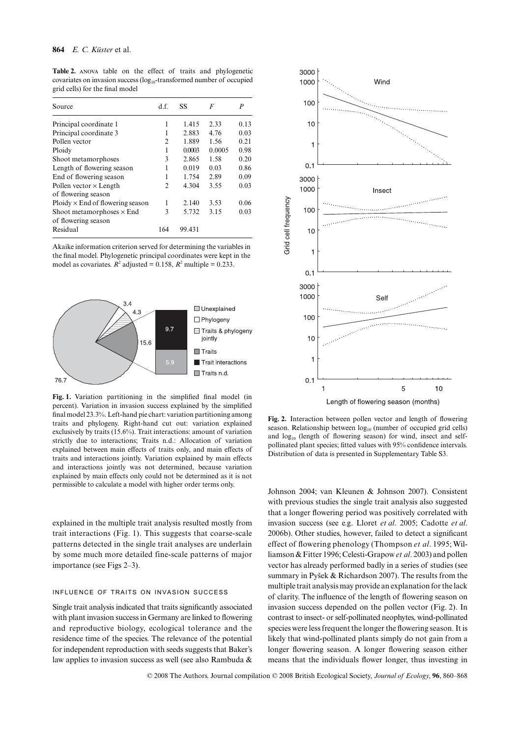| Source                                  | d.f.           | SS     | F      | P    |
|-----------------------------------------|----------------|--------|--------|------|
| Principal coordinate 1                  | 1              | 1.415  | 2.33   | 0.13 |
| Principal coordinate 3                  | 1              | 2.883  | 4.76   | 0.03 |
| Pollen vector                           | $\overline{c}$ | 1.889  | 1.56   | 0.21 |
| Ploidy                                  | 1              | 0.0003 | 0.0005 | 0.98 |
| Shoot metamorphoses                     | 3              | 2.865  | 1.58   | 0.20 |
| Length of flowering season              | 1              | 0.019  | 0.03   | 0.86 |
| End of flowering season                 |                | 1.754  | 2.89   | 0.09 |
| Pollen vector $\times$ Length           | 2              | 4.304  | 3.55   | 0.03 |
| of flowering season                     |                |        |        |      |
| $Ploidy \times End$ of flowering season | 1              | 2.140  | 3.53   | 0.06 |
| Shoot metamorphoses $\times$ End        | 3              | 5.732  | 3.15   | 0.03 |
| of flowering season                     |                |        |        |      |
| Residual                                | 164            | 99.431 |        |      |

**Table 2.** anova table on the effect of traits and phylogenetic covariates on invasion success  $(log_{10}$ -transformed number of occupied grid cells) for the final model

Akaike information criterion served for determining the variables in the final model. Phylogenetic principal coordinates were kept in the model as covariates.  $R^2$  adjusted = 0.158,  $R^2$  multiple = 0.233.



**Fig. 1.** Variation partitioning in the simplified final model (in percent). Variation in invasion success explained by the simplified final model 23.3%. Left-hand pie chart: variation partitioning among traits and phylogeny. Right-hand cut out: variation explained exclusively by traits (15.6%). Trait interactions: amount of variation strictly due to interactions; Traits n.d.: Allocation of variation explained between main effects of traits only, and main effects of traits and interactions jointly. Variation explained by main effects and interactions jointly was not determined, because variation explained by main effects only could not be determined as it is not permissible to calculate a model with higher order terms only.

explained in the multiple trait analysis resulted mostly from trait interactions (Fig. 1). This suggests that coarse-scale patterns detected in the single trait analyses are underlain by some much more detailed fine-scale patterns of major importance (see Figs 2–3).

# INFLUENCE OF TRAITS ON INVASION SUCCESS

Single trait analysis indicated that traits significantly associated with plant invasion success in Germany are linked to flowering and reproductive biology, ecological tolerance and the residence time of the species. The relevance of the potential for independent reproduction with seeds suggests that Baker's law applies to invasion success as well (see also Rambuda &



**Fig. 2.** Interaction between pollen vector and length of flowering season. Relationship between  $log_{10}$  (number of occupied grid cells) and  $log_{10}$  (length of flowering season) for wind, insect and selfpollinated plant species; fitted values with 95% confidence intervals. Distribution of data is presented in Supplementary Table S3.

Johnson 2004; van Kleunen & Johnson 2007). Consistent with previous studies the single trait analysis also suggested that a longer flowering period was positively correlated with invasion success (see e.g. Lloret *et al*. 2005; Cadotte *et al*. 2006b). Other studies, however, failed to detect a significant effect of flowering phenology (Thompson *et al*. 1995; Williamson & Fitter 1996; Celesti-Grapow *et al*. 2003) and pollen vector has already performed badly in a series of studies (see summary in Pyšek & Richardson 2007). The results from the multiple trait analysis may provide an explanation for the lack of clarity. The influence of the length of flowering season on invasion success depended on the pollen vector (Fig. 2). In contrast to insect- or self-pollinated neophytes, wind-pollinated species were less frequent the longer the flowering season. It is likely that wind-pollinated plants simply do not gain from a longer flowering season. A longer flowering season either means that the individuals flower longer, thus investing in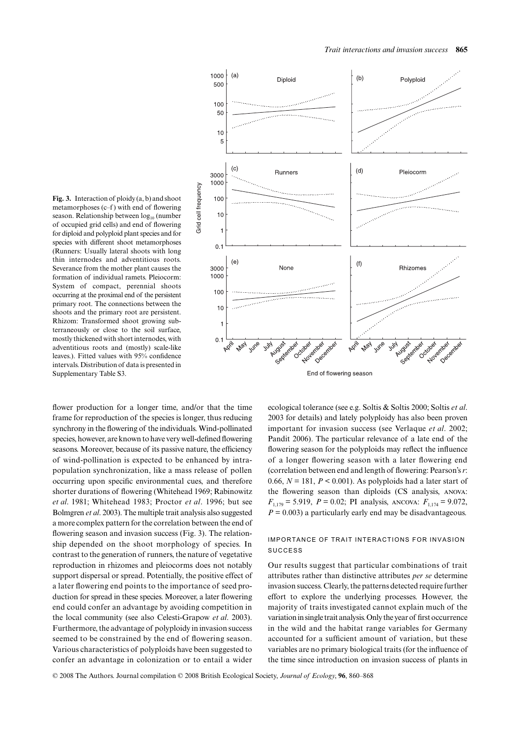

metamorphoses (c–f ) with end of flowering season. Relationship between  $log_{10}$  (number of occupied grid cells) and end of flowering for diploid and polyploid plant species and for species with different shoot metamorphoses (Runners: Usually lateral shoots with long thin internodes and adventitious roots. Severance from the mother plant causes the formation of individual ramets. Pleiocorm: System of compact, perennial shoots occurring at the proximal end of the persistent primary root. The connections between the shoots and the primary root are persistent. Rhizom: Transformed shoot growing subterraneously or close to the soil surface, mostly thickened with short internodes, with adventitious roots and (mostly) scale-like leaves.). Fitted values with 95% confidence intervals. Distribution of data is presented in Supplementary Table S3.

**Fig. 3.** Interaction of ploidy (a, b) and shoot

flower production for a longer time, and/or that the time frame for reproduction of the species is longer, thus reducing synchrony in the flowering of the individuals. Wind-pollinated species, however, are known to have very well-defined flowering seasons. Moreover, because of its passive nature, the efficiency of wind-pollination is expected to be enhanced by intrapopulation synchronization, like a mass release of pollen occurring upon specific environmental cues, and therefore shorter durations of flowering (Whitehead 1969; Rabinowitz *et al*. 1981; Whitehead 1983; Proctor *et al*. 1996; but see Bolmgren *et al*. 2003). The multiple trait analysis also suggested a more complex pattern for the correlation between the end of flowering season and invasion success (Fig. 3). The relationship depended on the shoot morphology of species. In contrast to the generation of runners, the nature of vegetative reproduction in rhizomes and pleiocorms does not notably support dispersal or spread. Potentially, the positive effect of a later flowering end points to the importance of seed production for spread in these species. Moreover, a later flowering end could confer an advantage by avoiding competition in the local community (see also Celesti-Grapow *et al*. 2003). Furthermore, the advantage of polyploidy in invasion success seemed to be constrained by the end of flowering season. Various characteristics of polyploids have been suggested to confer an advantage in colonization or to entail a wider

ecological tolerance (see e.g. Soltis & Soltis 2000; Soltis *et al*. 2003 for details) and lately polyploidy has also been proven important for invasion success (see Verlaque *et al*. 2002; Pandit 2006). The particular relevance of a late end of the flowering season for the polyploids may reflect the influence of a longer flowering season with a later flowering end (correlation between end and length of flowering: Pearson's *r*: 0.66,  $N = 181$ ,  $P \le 0.001$ ). As polyploids had a later start of the flowering season than diploids (CS analysis, anova:  $F_{1,179} = 5.919$ ,  $P = 0.02$ ; PI analysis, ANCOVA:  $F_{1,174} = 9.072$ ,  $P = 0.003$ ) a particularly early end may be disadvantageous.

# IMPORTANCE OF TRAIT INTERACTIONS FOR INVASION SUCCESS

Our results suggest that particular combinations of trait attributes rather than distinctive attributes *per se* determine invasion success. Clearly, the patterns detected require further effort to explore the underlying processes. However, the majority of traits investigated cannot explain much of the variation in single trait analysis. Only the year of first occurrence in the wild and the habitat range variables for Germany accounted for a sufficient amount of variation, but these variables are no primary biological traits (for the influence of the time since introduction on invasion success of plants in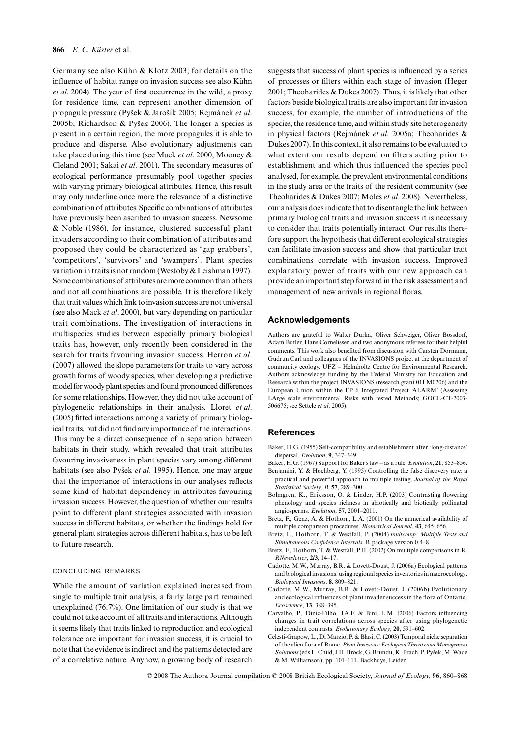Germany see also Kühn & Klotz 2003; for details on the influence of habitat range on invasion success see also Kühn *et al*. 2004). The year of first occurrence in the wild, a proxy for residence time, can represent another dimension of propagule pressure (Pysek & Jarosík 2005; Rejmánek *et al*. 2005b; Richardson & Pysek 2006). The longer a species is present in a certain region, the more propagules it is able to produce and disperse. Also evolutionary adjustments can take place during this time (see Mack *et al*. 2000; Mooney & Cleland 2001; Sakai *et al*. 2001). The secondary measures of ecological performance presumably pool together species with varying primary biological attributes. Hence, this result may only underline once more the relevance of a distinctive combination of attributes. Specific combinations of attributes have previously been ascribed to invasion success. Newsome & Noble (1986), for instance, clustered successful plant invaders according to their combination of attributes and proposed they could be characterized as 'gap grabbers', 'competitors', 'survivors' and 'swampers'. Plant species variation in traits is not random (Westoby & Leishman 1997). Some combinations of attributes are more common than others and not all combinations are possible. It is therefore likely that trait values which link to invasion success are not universal (see also Mack *et al*. 2000), but vary depending on particular trait combinations. The investigation of interactions in multispecies studies between especially primary biological traits has, however, only recently been considered in the search for traits favouring invasion success. Herron *et al*. (2007) allowed the slope parameters for traits to vary across growth forms of woody species, when developing a predictive model for woody plant species, and found pronounced differences for some relationships. However, they did not take account of phylogenetic relationships in their analysis. Lloret *et al*. (2005) fitted interactions among a variety of primary biological traits, but did not find any importance of the interactions. This may be a direct consequence of a separation between habitats in their study, which revealed that trait attributes favouring invasiveness in plant species vary among different habitats (see also Pysek *et al*. 1995). Hence, one may argue that the importance of interactions in our analyses reflects some kind of habitat dependency in attributes favouring invasion success. However, the question of whether our results point to different plant strategies associated with invasion success in different habitats, or whether the findings hold for general plant strategies across different habitats, has to be left to future research.

#### CONCLUDING REMARKS

While the amount of variation explained increased from single to multiple trait analysis, a fairly large part remained unexplained (76.7%). One limitation of our study is that we could not take account of all traits and interactions. Although it seems likely that traits linked to reproduction and ecological tolerance are important for invasion success, it is crucial to note that the evidence is indirect and the patterns detected are of a correlative nature. Anyhow, a growing body of research

suggests that success of plant species is influenced by a series of processes or filters within each stage of invasion (Heger 2001; Theoharides & Dukes 2007). Thus, it is likely that other factors beside biological traits are also important for invasion success, for example, the number of introductions of the species, the residence time, and within study site heterogeneity in physical factors (Rejmánek *et al*. 2005a; Theoharides & Dukes 2007). In this context, it also remains to be evaluated to what extent our results depend on filters acting prior to establishment and which thus influenced the species pool analysed, for example, the prevalent environmental conditions in the study area or the traits of the resident community (see Theoharides & Dukes 2007; Moles *et al*. 2008). Nevertheless, our analysis does indicate that to disentangle the link between primary biological traits and invasion success it is necessary to consider that traits potentially interact. Our results therefore support the hypothesis that different ecological strategies can facilitate invasion success and show that particular trait combinations correlate with invasion success. Improved explanatory power of traits with our new approach can provide an important step forward in the risk assessment and management of new arrivals in regional floras.

## **Acknowledgements**

Authors are grateful to Walter Durka, Oliver Schweiger, Oliver Bossdorf, Adam Butler, Hans Cornelissen and two anonymous referees for their helpful comments. This work also benefited from discussion with Carsten Dormann, Gudrun Carl and colleagues of the INVASIONS project at the department of community ecology, UFZ – Helmholtz Centre for Environmental Research. Authors acknowledge funding by the Federal Ministry for Education and Research within the project INVASIONS (research grant 01LM0206) and the European Union within the FP 6 Integrated Project 'ALARM' (Assessing LArge scale environmental Risks with tested Methods; GOCE-CT-2003- 506675; see Settele *et al*. 2005).

# **References**

- Baker, H.G. (1955) Self-compatibility and establishment after 'long-distance' dispersal. *Evolution*, **9**, 347–349.
- Baker, H.G. (1967) Support for Baker's law as a rule. *Evolution*, **21**, 853–856. Benjamini, Y. & Hochberg, Y. (1995) Controlling the false discovery rate: a
- practical and powerful approach to multiple testing. *Journal of the Royal Statistical Society, B*, **57**, 289–300.
- Bolmgren, K., Eriksson, O. & Linder, H.P. (2003) Contrasting flowering phenology and species richness in abiotically and biotically pollinated angiosperms. *Evolution*, **57**, 2001–2011.
- Bretz, F., Genz, A. & Hothorn, L.A. (2001) On the numerical availability of multiple comparison procedures. *Biometrical Journal*, **43**, 645–656.
- Bretz, F., Hothorn, T. & Westfall, P. (2004) *multcomp: Multiple Tests and Simultaneous Confidence Intervals*. R package version 0.4–8.
- Bretz, F., Hothorn, T. & Westfall, P.H. (2002) On multiple comparisons in R. *RNewsletter*, **2/3**, 14–17.
- Cadotte, M.W., Murray, B.R. & Lovett-Doust, J. (2006a) Ecological patterns and biological invasions: using regional species inventories in macroecology. *Biological Invasions*, **8**, 809–821.
- Cadotte, M.W., Murray, B.R. & Lovett-Doust, J. (2006b) Evolutionary and ecological influences of plant invader success in the flora of Ontario. *Ecoscience*, **13**, 388–395.
- Carvalho, P., Diniz-Filho, J.A.F. & Bini, L.M. (2006) Factors influencing changes in trait correlations across species after using phylogenetic independent contrasts. *Evolutionary Ecology*, **20**, 591–602.
- Celesti-Grapow, L., Di Marzio, P. & Blasi, C. (2003) Temporal niche separation of the alien flora of Rome. *Plant Invasions: Ecological Threats and Management Solutions* (eds L. Child, J.H. Brock, G. Brundu, K. Prach, P. Pysek, M. Wade & M. Williamson), pp. 101–111. Backhuys, Leiden.

© 2008 The Authors. Journal compilation © 2008 British Ecological Society, *Journal of Ecology*, **96**, 860–868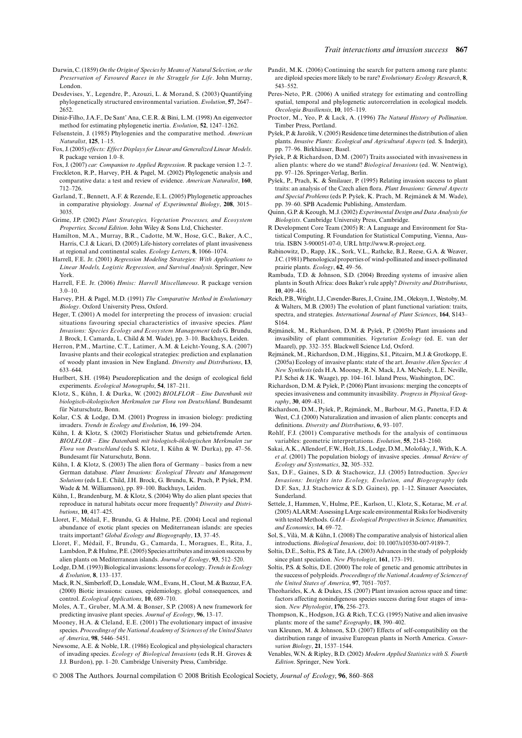- Darwin, C. (1859) *On the Origin of Species by Means of Natural Selection, or the Preservation of Favoured Races in the Struggle for Life*. John Murray, London.
- Desdevises, Y., Legendre, P., Azouzi, L. & Morand, S. (2003) Quantifying phylogenetically structured environmental variation. *Evolution*, **57**, 2647– 2652.
- Diniz-Filho, J.A.F., De Sant' Ana, C.E.R. & Bini, L.M. (1998) An eigenvector method for estimating phylogenetic inertia. *Evolution*, **52**, 1247–1262.
- Felsenstein, J. (1985) Phylogenies and the comparative method. *American Naturalist*, **125**, 1–15.
- Fox, J. (2005) *effects: Effect Displays for Linear and Generalized Linear Models*. R package version 1.0–8.
- Fox, J. (2007) *car: Companion to Applied Regression*. R package version 1.2–7.
- Freckleton, R.P., Harvey, P.H. & Pagel, M. (2002) Phylogenetic analysis and comparative data: a test and review of evidence. *American Naturalist*, **160**, 712–726.
- Garland, T., Bennett, A.F. & Rezende, E.L. (2005) Phylogenetic approaches in comparative physiology. *Journal of Experimental Biology*, **208**, 3015– 3035.
- Grime, J.P. (2002) *Plant Strategies, Vegetation Processes, and Ecosystem Properties, Second Edition*. John Wiley & Sons Ltd, Chichester.
- Hamilton, M.A., Murray, B.R., Cadotte, M.W., Hose, G.C., Baker, A.C., Harris, C.J. & Licari, D. (2005) Life-history correlates of plant invasiveness at regional and continental scales. *Ecology Letters*, **8**, 1066–1074.
- Harrell, F.E. Jr. (2001) *Regression Modeling Strategies: With Applications to Linear Models, Logistic Regression, and Survival Analysis*. Springer, New York.
- Harrell, F.E. Jr. (2006) *Hmisc: Harrell Miscellaneous*. R package version  $3.0 - 10$
- Harvey, P.H. & Pagel, M.D. (1991) *The Comparative Method in Evolutionary Biology*. Oxford University Press, Oxford.
- Heger, T. (2001) A model for interpreting the process of invasion: crucial situations favouring special characteristics of invasive species. *Plant Invasions: Species Ecology and Ecosystem Management* (eds G. Brundu, J. Brock, I. Camarda, L. Child & M. Wade), pp. 3–10. Backhuys, Leiden.
- Herron, P.M., Martine, C.T., Latimer, A.M. & Leicht-Young, S.A. (2007) Invasive plants and their ecological strategies: prediction and explanation of woody plant invasion in New England. *Diversity and Distributions*, **13**, 633–644.
- Hurlbert, S.H. (1984) Pseudoreplication and the design of ecological field experiments. *Ecological Monographs*, **54**, 187–211.
- Klotz, S., Kühn, I. & Durka, W. (2002) *BIOLFLOR Eine Datenbank mit biologisch-ökologischen Merkmalen zur Flora von Deutschland*. Bundesamt für Naturschutz, Bonn.
- Kolar, C.S. & Lodge, D.M. (2001) Progress in invasion biology: predicting invaders. *Trends in Ecology and Evolution*, **16**, 199–204.
- Kühn, I. & Klotz, S. (2002) Floristischer Status und gebietsfremde Arten. *BIOLFLOR – Eine Datenbank mit biologisch-ökologischen Merkmalen zur Flora von Deutschland* (eds S. Klotz, I. Kühn & W. Durka), pp. 47–56. Bundesamt für Naturschutz, Bonn.
- Kühn, I. & Klotz, S. (2003) The alien flora of Germany basics from a new German database. *Plant Invasions: Ecological Threats and Management Solutions* (eds L.E. Child, J.H. Brock, G. Brundu, K. Prach, P. Pysek, P.M. Wade & M. Williamson), pp. 89–100. Backhuys, Leiden.
- Kühn, I., Brandenburg, M. & Klotz, S. (2004) Why do alien plant species that reproduce in natural habitats occur more frequently? *Diversity and Distributions*, **10**, 417–425.
- Lloret, F., Médail, F., Brundu, G. & Hulme, P.E. (2004) Local and regional abundance of exotic plant species on Mediterranean islands: are species traits important? *Global Ecology and Biogeography*, **13**, 37–45.
- Lloret, F., Médail, F., Brundu, G., Camarda, I., Moragues, E., Rita, J., Lambdon, P. & Hulme, P.E. (2005) Species attributes and invasion success by alien plants on Mediterranean islands. *Journal of Ecology*, **93**, 512–520.
- Lodge, D.M. (1993) Biological invasions: lessons for ecology. *Trends in Ecology & Evolution*, **8**, 133–137.
- Mack, R.N., Simberloff, D., Lonsdale, W.M., Evans, H., Clout, M. & Bazzaz, F.A. (2000) Biotic invasions: causes, epidemiology, global consequences, and control. *Ecological Applications*, **10**, 689–710.
- Moles, A.T., Gruber, M.A.M. & Bonser, S.P. (2008) A new framework for predicting invasive plant species. *Journal of Ecology*, **96**, 13–17.
- Mooney, H.A. & Cleland, E.E. (2001) The evolutionary impact of invasive species. *Proceedings of the National Academy of Sciences of the United States of America*, **98**, 5446–5451.
- Newsome, A.E. & Noble, I.R. (1986) Ecological and physiological characters of invading species. *Ecology of Biological Invasions* (eds R.H. Groves & J.J. Burdon), pp. 1–20. Cambridge University Press, Cambridge.
- Pandit, M.K. (2006) Continuing the search for pattern among rare plants: are diploid species more likely to be rare? *Evolutionary Ecology Research*, **8**, 543–552.
- Peres-Neto, P.R. (2006) A unified strategy for estimating and controlling spatial, temporal and phylogenetic autorcorrelation in ecological models. *Oecologia Brasiliensis*, **10**, 105–119.
- Proctor, M., Yeo, P. & Lack, A. (1996) *The Natural History of Pollination*. Timber Press, Portland.
- Pysek, P. & Jarosík, V. (2005) Residence time determines the distribution of alien plants. *Invasive Plants: Ecological and Agricultural Aspects* (ed. S. Inderjit), pp. 77–96. Birkhäuser, Basel.
- Pysek, P. & Richardson, D.M. (2007) Traits associated with invasiveness in alien plants: where do we stand? *Biological Invasions* (ed. W. Nentwig), pp. 97–126. Springer-Verlag, Berlin.
- Pysek, P., Prach, K. & Smilauer, P. (1995) Relating invasion success to plant traits: an analysis of the Czech alien flora. *Plant Invasions: General Aspects and Special Problems* (eds P. Pysek, K. Prach, M. Rejmánek & M. Wade), pp. 39–60. SPB Academic Publishing, Amsterdam.
- Quinn, G.P. & Keough, M.J. (2002) *Experimental Design and Data Analysis for Biologists*. Cambridge University Press, Cambridge.
- R Development Core Team (2005) R: A Language and Environment for Statistical Computing. R Foundation for Statistical Computing, Vienna, Austria. ISBN 3-900051-07-0, URL [http://www.R-project.org.](http://www.R-project.org)
- Rabinowitz, D., Rapp, J.K., Sork, V.L., Rathcke, B.J., Reese, G.A. & Weaver, J.C. (1981) Phenological properties of wind-pollinated and insect-pollinated prairie plants. *Ecology*, **62**, 49–56.
- Rambuda, T.D. & Johnson, S.D. (2004) Breeding systems of invasive alien plants in South Africa: does Baker's rule apply? *Diversity and Distributions*, **10**, 409–416.
- Reich, P.B., Wright, I.J., Cavender-Bares, J., Craine, J.M., Oleksyn, J., Westoby, M. & Walters, M.B. (2003) The evolution of plant functional variation: traits, spectra, and strategies. *International Journal of Plant Sciences*, **164**, S143– S164.
- Rejmánek, M., Richardson, D.M. & Pysek, P. (2005b) Plant invasions and invasibility of plant communities. *Vegetation Ecology* (ed. E. van der Maarel), pp. 332–355. Blackwell Science Ltd, Oxford.
- Rejmánek, M., Richardson, D.M., Higgins, S.I., Pitcairn, M.J. & Grotkopp, E. (2005a) Ecology of invasive plants: state of the art. *Invasive Alien Species: A New Synthesis* (eds H.A. Mooney, R.N. Mack, J.A. McNeely, L.E. Neville, P.J. Schei & J.K. Waage), pp. 104–161. Island Press, Washington, DC.
- Richardson, D.M. & Pysek, P. (2006) Plant invasions: merging the concepts of species invasiveness and community invasibility. *Progress in Physical Geography*, **30**, 409–431.
- Richardson, D.M., Pysek, P., Rejmánek, M., Barbour, M.G., Panetta, F.D. & West, C.J. (2000) Naturalization and invasion of alien plants: concepts and definitions. *Diversity and Distributions*, **6**, 93–107.
- Rohlf, F.J. (2001) Comparative methods for the analysis of continuous variables: geometric interpretations. *Evolution*, **55**, 2143–2160.
- Sakai, A.K., Allendorf, F.W., Holt, J.S., Lodge, D.M., Molofsky, J., With, K.A. *et al*. (2001) The population biology of invasive species. *Annual Review of Ecology and Systematics*, **32**, 305–332.
- Sax, D.F., Gaines, S.D. & Stachowicz, J.J. (2005) Introduction. *Species Invasions: Insights into Ecology, Evolution, and Biogeography* (eds D.F. Sax, J.J. Stachowicz & S.D. Gaines), pp. 1–12. Sinauer Associates, Sunderland.
- Settele, J., Hammen, V., Hulme, P.E., Karlson, U., Klotz, S., Kotarac, M. *et al*. (2005) ALARM: Assessing LArge scale environmental Risks for biodiversity with tested Methods. *GAIA – Ecological Perspectives in Science, Humanities, and Economics*, **14**, 69–72.
- Sol, S., Vilà, M. & Kühn, I. (2008) The comparative analysis of historical alien introductions. *Biological Invasions*, doi: 10.1007/s10530-007-9189-7.
- Soltis, D.E., Soltis, P.S. & Tate, J.A. (2003) Advances in the study of polyploidy since plant speciation. *New Phytologist*, **161**, 173–191.
- Soltis, P.S. & Soltis, D.E. (2000) The role of genetic and genomic attributes in the success of polyploids. *Proceedings of the National Academy of Sciences of the United States of America*, **97**, 7051–7057.
- Theoharides, K.A. & Dukes, J.S. (2007) Plant invasion across space and time: factors affecting nonindigenous species success during four stages of invasion. *New Phytologist*, **176**, 256–273.
- Thompson, K., Hodgson, J.G. & Rich, T.C.G. (1995) Native and alien invasive plants: more of the same? *Ecography*, **18**, 390–402.
- van Kleunen, M. & Johnson, S.D. (2007) Effects of self-compatibility on the distribution range of invasive European plants in North America. *Conservation Biology*, **21**, 1537–1544.
- Venables, W.N. & Ripley, B.D. (2002) *Modern Applied Statistics with S. Fourth Edition*. Springer, New York.

© 2008 The Authors. Journal compilation © 2008 British Ecological Society, *Journal of Ecology*, **96**, 860–868